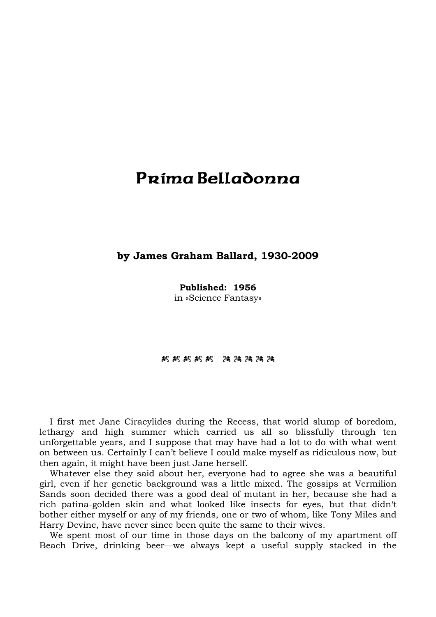## Prima Belladonna

**by James Graham Ballard, 1930-2009**

**Published: 1956** in »Science Fantasy«

**KKKKK 25 25 25 25 26** 

I first met Jane Ciracylides during the Recess, that world slump of boredom, lethargy and high summer which carried us all so blissfully through ten unforgettable years, and I suppose that may have had a lot to do with what went on between us. Certainly I can't believe I could make myself as ridiculous now, but then again, it might have been just Jane herself.

Whatever else they said about her, everyone had to agree she was a beautiful girl, even if her genetic background was a little mixed. The gossips at Vermilion Sands soon decided there was a good deal of mutant in her, because she had a rich patina-golden skin and what looked like insects for eyes, but that didn't bother either myself or any of my friends, one or two of whom, like Tony Miles and Harry Devine, have never since been quite the same to their wives.

We spent most of our time in those days on the balcony of my apartment off Beach Drive, drinking beer—we always kept a useful supply stacked in the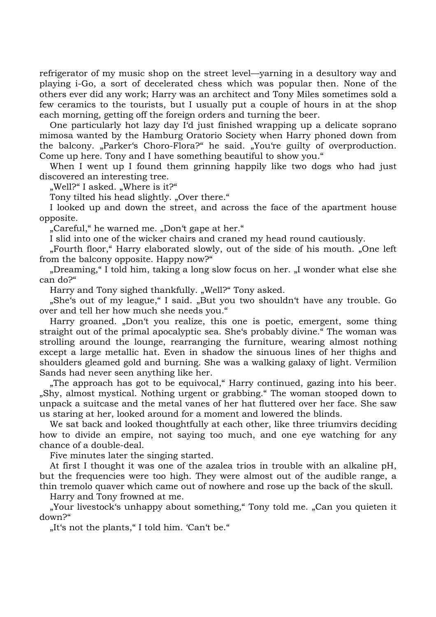refrigerator of my music shop on the street level—yarning in a desultory way and playing i-Go, a sort of decelerated chess which was popular then. None of the others ever did any work; Harry was an architect and Tony Miles sometimes sold a few ceramics to the tourists, but I usually put a couple of hours in at the shop each morning, getting off the foreign orders and turning the beer.

One particularly hot lazy day I'd just finished wrapping up a delicate soprano mimosa wanted by the Hamburg Oratorio Society when Harry phoned down from the balcony. "Parker's Choro-Flora?" he said. "You're guilty of overproduction. Come up here. Tony and I have something beautiful to show you."

When I went up I found them grinning happily like two dogs who had just discovered an interesting tree.

"Well?" I asked. "Where is it?"

Tony tilted his head slightly. "Over there."

I looked up and down the street, and across the face of the apartment house opposite.

"Careful, " he warned me. "Don't gape at her."

I slid into one of the wicker chairs and craned my head round cautiously.

"Fourth floor," Harry elaborated slowly, out of the side of his mouth. "One left from the balcony opposite. Happy now?"

"Dreaming," I told him, taking a long slow focus on her. "I wonder what else she can do?"

Harry and Tony sighed thankfully. "Well?" Tony asked.

"She's out of my league," I said. "But you two shouldn't have any trouble. Go over and tell her how much she needs you."

Harry groaned. "Don't you realize, this one is poetic, emergent, some thing straight out of the primal apocalyptic sea. She's probably divine." The woman was strolling around the lounge, rearranging the furniture, wearing almost nothing except a large metallic hat. Even in shadow the sinuous lines of her thighs and shoulders gleamed gold and burning. She was a walking galaxy of light. Vermilion Sands had never seen anything like her.

"The approach has got to be equivocal," Harry continued, gazing into his beer. "Shy, almost mystical. Nothing urgent or grabbing." The woman stooped down to unpack a suitcase and the metal vanes of her hat fluttered over her face. She saw us staring at her, looked around for a moment and lowered the blinds.

We sat back and looked thoughtfully at each other, like three triumvirs deciding how to divide an empire, not saying too much, and one eye watching for any chance of a double-deal.

Five minutes later the singing started.

At first I thought it was one of the azalea trios in trouble with an alkaline pH, but the frequencies were too high. They were almost out of the audible range, a thin tremolo quaver which came out of nowhere and rose up the back of the skull.

Harry and Tony frowned at me.

"Your livestock's unhappy about something," Tony told me. "Can you quieten it down?"

"It's not the plants," I told him. 'Can't be."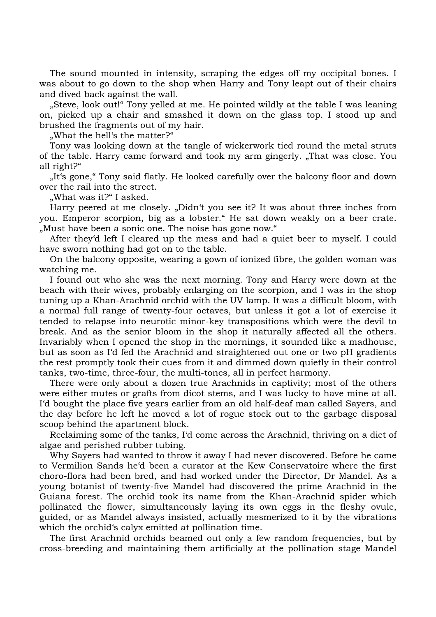The sound mounted in intensity, scraping the edges off my occipital bones. I was about to go down to the shop when Harry and Tony leapt out of their chairs and dived back against the wall.

"Steve, look out!" Tony yelled at me. He pointed wildly at the table I was leaning on, picked up a chair and smashed it down on the glass top. I stood up and brushed the fragments out of my hair.

"What the hell's the matter?"

Tony was looking down at the tangle of wickerwork tied round the metal struts of the table. Harry came forward and took my arm gingerly. "That was close. You all right?"

"It's gone," Tony said flatly. He looked carefully over the balcony floor and down over the rail into the street.

"What was it?" I asked.

Harry peered at me closely. "Didn't you see it? It was about three inches from you. Emperor scorpion, big as a lobster." He sat down weakly on a beer crate. "Must have been a sonic one. The noise has gone now."

After they'd left I cleared up the mess and had a quiet beer to myself. I could have sworn nothing had got on to the table.

On the balcony opposite, wearing a gown of ionized fibre, the golden woman was watching me.

I found out who she was the next morning. Tony and Harry were down at the beach with their wives, probably enlarging on the scorpion, and I was in the shop tuning up a Khan-Arachnid orchid with the UV lamp. It was a difficult bloom, with a normal full range of twenty-four octaves, but unless it got a lot of exercise it tended to relapse into neurotic minor-key transpositions which were the devil to break. And as the senior bloom in the shop it naturally affected all the others. Invariably when I opened the shop in the mornings, it sounded like a madhouse, but as soon as I'd fed the Arachnid and straightened out one or two pH gradients the rest promptly took their cues from it and dimmed down quietly in their control tanks, two-time, three-four, the multi-tones, all in perfect harmony.

There were only about a dozen true Arachnids in captivity; most of the others were either mutes or grafts from dicot stems, and I was lucky to have mine at all. I'd bought the place five years earlier from an old half-deaf man called Sayers, and the day before he left he moved a lot of rogue stock out to the garbage disposal scoop behind the apartment block.

Reclaiming some of the tanks, I'd come across the Arachnid, thriving on a diet of algae and perished rubber tubing.

Why Sayers had wanted to throw it away I had never discovered. Before he came to Vermilion Sands he'd been a curator at the Kew Conservatoire where the first choro-flora had been bred, and had worked under the Director, Dr Mandel. As a young botanist of twenty-five Mandel had discovered the prime Arachnid in the Guiana forest. The orchid took its name from the Khan-Arachnid spider which pollinated the flower, simultaneously laying its own eggs in the fleshy ovule, guided, or as Mandel always insisted, actually mesmerized to it by the vibrations which the orchid's calyx emitted at pollination time.

The first Arachnid orchids beamed out only a few random frequencies, but by cross-breeding and maintaining them artificially at the pollination stage Mandel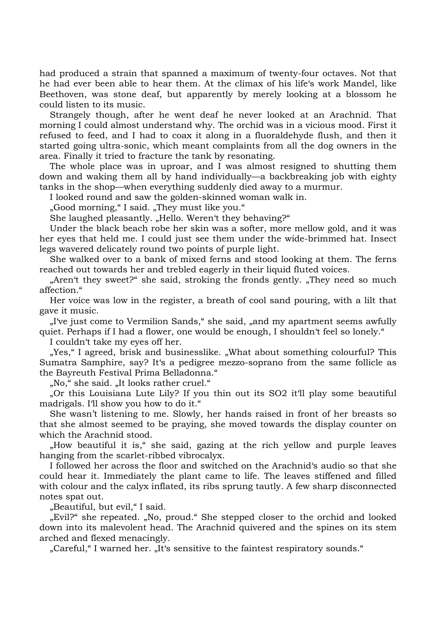had produced a strain that spanned a maximum of twenty-four octaves. Not that he had ever been able to hear them. At the climax of his life's work Mandel, like Beethoven, was stone deaf, but apparently by merely looking at a blossom he could listen to its music.

Strangely though, after he went deaf he never looked at an Arachnid. That morning I could almost understand why. The orchid was in a vicious mood. First it refused to feed, and I had to coax it along in a fluoraldehyde flush, and then it started going ultra-sonic, which meant complaints from all the dog owners in the area. Finally it tried to fracture the tank by resonating.

The whole place was in uproar, and I was almost resigned to shutting them down and waking them all by hand individually—a backbreaking job with eighty tanks in the shop—when everything suddenly died away to a murmur.

I looked round and saw the golden-skinned woman walk in.

"Good morning," I said. "They must like you."

She laughed pleasantly. "Hello. Weren't they behaving?"

Under the black beach robe her skin was a softer, more mellow gold, and it was her eyes that held me. I could just see them under the wide-brimmed hat. Insect legs wavered delicately round two points of purple light.

She walked over to a bank of mixed ferns and stood looking at them. The ferns reached out towards her and trebled eagerly in their liquid fluted voices.

"Aren't they sweet?" she said, stroking the fronds gently. "They need so much" affection."

Her voice was low in the register, a breath of cool sand pouring, with a lilt that gave it music.

"I've just come to Vermilion Sands," she said, "and my apartment seems awfully quiet. Perhaps if I had a flower, one would be enough, I shouldn't feel so lonely."

I couldn't take my eyes off her.

"Yes," I agreed, brisk and businesslike. "What about something colourful? This Sumatra Samphire, say? It's a pedigree mezzo-soprano from the same follicle as the Bayreuth Festival Prima Belladonna."

"No," she said. "It looks rather cruel."

"Or this Louisiana Lute Lily? If you thin out its SO2 it'll play some beautiful madrigals. I'll show you how to do it."

She wasn't listening to me. Slowly, her hands raised in front of her breasts so that she almost seemed to be praying, she moved towards the display counter on which the Arachnid stood.

"How beautiful it is," she said, gazing at the rich yellow and purple leaves hanging from the scarlet-ribbed vibrocalyx.

I followed her across the floor and switched on the Arachnid's audio so that she could hear it. Immediately the plant came to life. The leaves stiffened and filled with colour and the calyx inflated, its ribs sprung tautly. A few sharp disconnected notes spat out.

"Beautiful, but evil," I said.

"Evil?" she repeated. "No, proud." She stepped closer to the orchid and looked down into its malevolent head. The Arachnid quivered and the spines on its stem arched and flexed menacingly.

"Careful, "I warned her. "It's sensitive to the faintest respiratory sounds."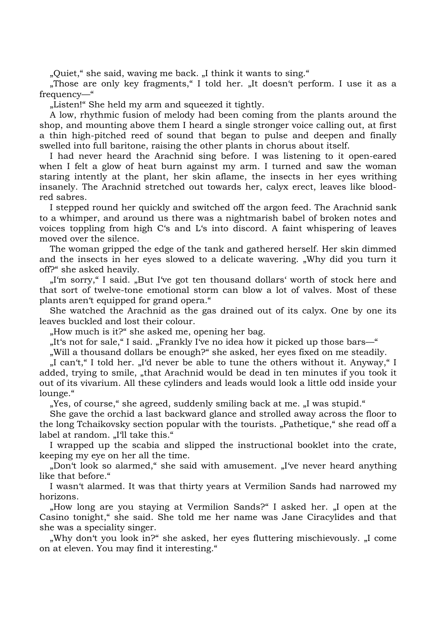"Quiet," she said, waving me back. "I think it wants to sing."

"Those are only key fragments," I told her. "It doesn't perform. I use it as a frequency—"

"Listen!" She held my arm and squeezed it tightly.

A low, rhythmic fusion of melody had been coming from the plants around the shop, and mounting above them I heard a single stronger voice calling out, at first a thin high-pitched reed of sound that began to pulse and deepen and finally swelled into full baritone, raising the other plants in chorus about itself.

I had never heard the Arachnid sing before. I was listening to it open-eared when I felt a glow of heat burn against my arm. I turned and saw the woman staring intently at the plant, her skin aflame, the insects in her eyes writhing insanely. The Arachnid stretched out towards her, calyx erect, leaves like bloodred sabres.

I stepped round her quickly and switched off the argon feed. The Arachnid sank to a whimper, and around us there was a nightmarish babel of broken notes and voices toppling from high C's and L's into discord. A faint whispering of leaves moved over the silence.

The woman gripped the edge of the tank and gathered herself. Her skin dimmed and the insects in her eyes slowed to a delicate wavering. "Why did you turn it off?" she asked heavily.

"I'm sorry," I said. "But I've got ten thousand dollars' worth of stock here and that sort of twelve-tone emotional storm can blow a lot of valves. Most of these plants aren't equipped for grand opera."

She watched the Arachnid as the gas drained out of its calyx. One by one its leaves buckled and lost their colour.

"How much is it?" she asked me, opening her bag.

"It's not for sale," I said. "Frankly I've no idea how it picked up those bars—"

"Will a thousand dollars be enough?" she asked, her eyes fixed on me steadily.

"I can't," I told her. "I'd never be able to tune the others without it. Anyway," I added, trying to smile, "that Arachnid would be dead in ten minutes if you took it out of its vivarium. All these cylinders and leads would look a little odd inside your lounge."

", Yes, of course, " she agreed, suddenly smiling back at me. "I was stupid."

She gave the orchid a last backward glance and strolled away across the floor to the long Tchaikovsky section popular with the tourists. "Pathetique," she read off a label at random. "I'll take this."

I wrapped up the scabia and slipped the instructional booklet into the crate, keeping my eye on her all the time.

"Don't look so alarmed," she said with amusement. "I've never heard anything like that before."

I wasn't alarmed. It was that thirty years at Vermilion Sands had narrowed my horizons.

"How long are you staying at Vermilion Sands?" I asked her. "I open at the Casino tonight," she said. She told me her name was Jane Ciracylides and that she was a speciality singer.

"Why don't you look in?" she asked, her eyes fluttering mischievously. "I come on at eleven. You may find it interesting."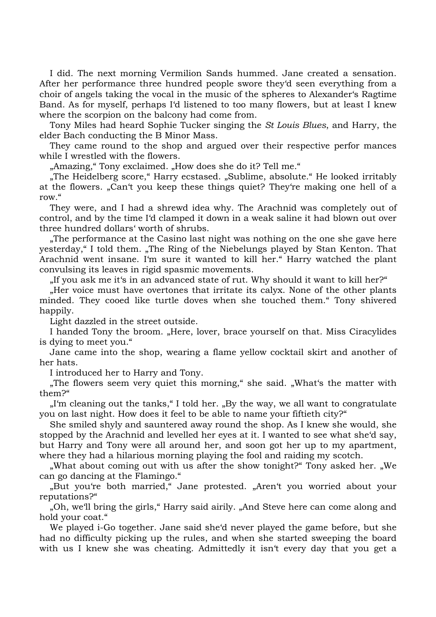I did. The next morning Vermilion Sands hummed. Jane created a sensation. After her performance three hundred people swore they'd seen everything from a choir of angels taking the vocal in the music of the spheres to Alexander's Ragtime Band. As for myself, perhaps I'd listened to too many flowers, but at least I knew where the scorpion on the balcony had come from.

Tony Miles had heard Sophie Tucker singing the *St Louis Blues*, and Harry, the elder Bach conducting the B Minor Mass.

They came round to the shop and argued over their respective perfor mances while I wrestled with the flowers.

"Amazing," Tony exclaimed. "How does she do it? Tell me."

"The Heidelberg score," Harry ecstased. "Sublime, absolute." He looked irritably at the flowers. "Can't you keep these things quiet? They're making one hell of a row."

They were, and I had a shrewd idea why. The Arachnid was completely out of control, and by the time I'd clamped it down in a weak saline it had blown out over three hundred dollars' worth of shrubs.

.The performance at the Casino last night was nothing on the one she gave here yesterday," I told them. "The Ring of the Niebelungs played by Stan Kenton. That Arachnid went insane. I'm sure it wanted to kill her." Harry watched the plant convulsing its leaves in rigid spasmic movements.

"If you ask me it's in an advanced state of rut. Why should it want to kill her?"

"Her voice must have overtones that irritate its calyx. None of the other plants minded. They cooed like turtle doves when she touched them." Tony shivered happily.

Light dazzled in the street outside.

I handed Tony the broom. "Here, lover, brace yourself on that. Miss Ciracylides is dying to meet you."

Jane came into the shop, wearing a flame yellow cocktail skirt and another of her hats.

I introduced her to Harry and Tony.

"The flowers seem very quiet this morning," she said. "What's the matter with them?"

"I'm cleaning out the tanks," I told her. "By the way, we all want to congratulate you on last night. How does it feel to be able to name your fiftieth city?"

She smiled shyly and sauntered away round the shop. As I knew she would, she stopped by the Arachnid and levelled her eyes at it. I wanted to see what she'd say, but Harry and Tony were all around her, and soon got her up to my apartment, where they had a hilarious morning playing the fool and raiding my scotch.

"What about coming out with us after the show tonight?" Tony asked her. "We can go dancing at the Flamingo."

"But you're both married," Jane protested. "Aren't you worried about your reputations?"

"Oh, we'll bring the girls," Harry said airily. "And Steve here can come along and hold your coat."

We played i-Go together. Jane said she'd never played the game before, but she had no difficulty picking up the rules, and when she started sweeping the board with us I knew she was cheating. Admittedly it isn't every day that you get a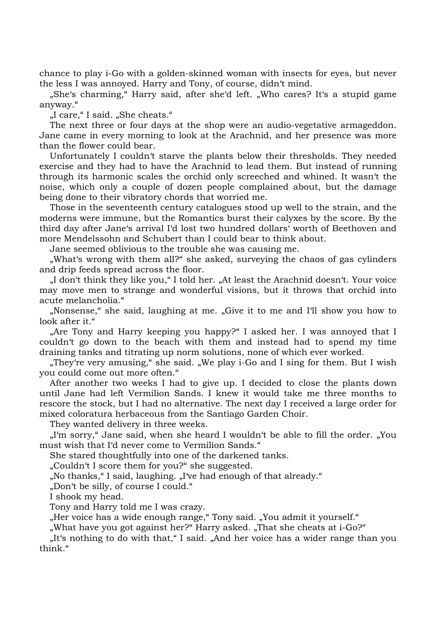chance to play i-Go with a golden-skinned woman with insects for eyes, but never the less I was annoyed. Harry and Tony, of course, didn't mind.

"She's charming," Harry said, after she'd left. "Who cares? It's a stupid game anyway."

"I care," I said. "She cheats."

The next three or four days at the shop were an audio-vegetative armageddon. Jane came in every morning to look at the Arachnid, and her presence was more than the flower could bear.

Unfortunately I couldn't starve the plants below their thresholds. They needed exercise and they had to have the Arachnid to lead them. But instead of running through its harmonic scales the orchid only screeched and whined. It wasn't the noise, which only a couple of dozen people complained about, but the damage being done to their vibratory chords that worried me.

Those in the seventeenth century catalogues stood up well to the strain, and the moderns were immune, but the Romantics burst their calyxes by the score. By the third day after Jane's arrival I'd lost two hundred dollars' worth of Beethoven and more Mendelssohn and Schubert than I could bear to think about.

Jane seemed oblivious to the trouble she was causing me.

"What's wrong with them all?" she asked, surveying the chaos of gas cylinders and drip feeds spread across the floor.

"I don't think they like you," I told her. "At least the Arachnid doesn't. Your voice may move men to strange and wonderful visions, but it throws that orchid into acute melancholia."

"Nonsense," she said, laughing at me. "Give it to me and I'll show you how to look after it."

"Are Tony and Harry keeping you happy?" I asked her. I was annoyed that I couldn't go down to the beach with them and instead had to spend my time draining tanks and titrating up norm solutions, none of which ever worked.

"They're very amusing," she said. "We play i-Go and I sing for them. But I wish you could come out more often."

After another two weeks I had to give up. I decided to close the plants down until Jane had left Vermilion Sands. I knew it would take me three months to rescore the stock, but I had no alternative. The next day I received a large order for mixed coloratura herbaceous from the Santiago Garden Choir.

They wanted delivery in three weeks.

"I'm sorry," Jane said, when she heard I wouldn't be able to fill the order. "You must wish that I'd never come to Vermilion Sands."

She stared thoughtfully into one of the darkened tanks.

"Couldn't I score them for you?" she suggested.

". No thanks, "I said, laughing. "I've had enough of that already."

"Don't be silly, of course I could."

I shook my head.

Tony and Harry told me I was crazy.

"Her voice has a wide enough range," Tony said. "You admit it yourself."

", What have you got against her?" Harry asked. "That she cheats at i-Go?"

"It's nothing to do with that," I said. "And her voice has a wider range than you think."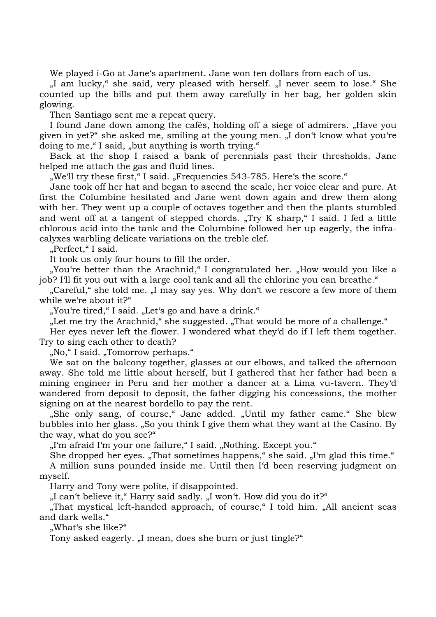We played i-Go at Jane's apartment. Jane won ten dollars from each of us.

"I am lucky," she said, very pleased with herself. "I never seem to lose." She counted up the bills and put them away carefully in her bag, her golden skin glowing.

Then Santiago sent me a repeat query.

I found Jane down among the cafés, holding off a siege of admirers. "Have you given in yet?" she asked me, smiling at the young men. "I don't know what you're doing to me, "I said, "but anything is worth trying."

Back at the shop I raised a bank of perennials past their thresholds. Jane helped me attach the gas and fluid lines.

"We'll try these first," I said. "Frequencies 543-785. Here's the score."

Jane took off her hat and began to ascend the scale, her voice clear and pure. At first the Columbine hesitated and Jane went down again and drew them along with her. They went up a couple of octaves together and then the plants stumbled and went off at a tangent of stepped chords. "Try K sharp," I said. I fed a little chlorous acid into the tank and the Columbine followed her up eagerly, the infracalyxes warbling delicate variations on the treble clef.

"Perfect," I said.

It took us only four hours to fill the order.

"You're better than the Arachnid," I congratulated her. "How would you like a job? I'll fit you out with a large cool tank and all the chlorine you can breathe."

"Careful," she told me. "I may say yes. Why don't we rescore a few more of them while we're about it?"

"You're tired," I said. "Let's go and have a drink."

"Let me try the Arachnid," she suggested. "That would be more of a challenge."

Her eyes never left the flower. I wondered what they'd do if I left them together. Try to sing each other to death?

"No," I said. "Tomorrow perhaps."

We sat on the balcony together, glasses at our elbows, and talked the afternoon away. She told me little about herself, but I gathered that her father had been a mining engineer in Peru and her mother a dancer at a Lima vu-tavern. They'd wandered from deposit to deposit, the father digging his concessions, the mother signing on at the nearest bordello to pay the rent.

"She only sang, of course," Jane added. "Until my father came." She blew bubbles into her glass. "So you think I give them what they want at the Casino. By the way, what do you see?"

"I'm afraid I'm your one failure," I said. "Nothing. Except you."

She dropped her eyes. "That sometimes happens," she said. "I'm glad this time."

A million suns pounded inside me. Until then I'd been reserving judgment on myself.

Harry and Tony were polite, if disappointed.

"I can't believe it," Harry said sadly. "I won't. How did you do it?"

"That mystical left-handed approach, of course," I told him. "All ancient seas and dark wells."

"What's she like?"

Tony asked eagerly. "I mean, does she burn or just tingle?"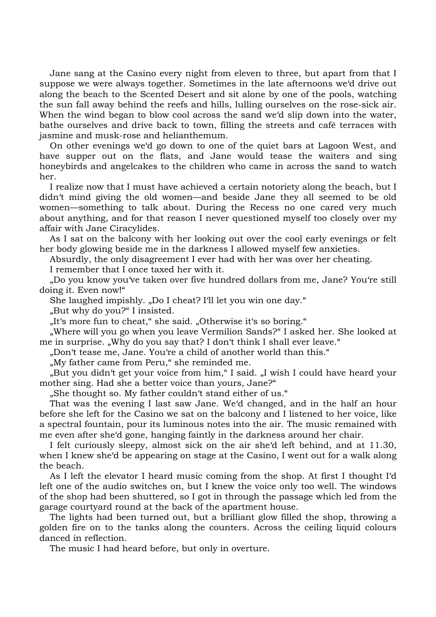Jane sang at the Casino every night from eleven to three, but apart from that I suppose we were always together. Sometimes in the late afternoons we'd drive out along the beach to the Scented Desert and sit alone by one of the pools, watching the sun fall away behind the reefs and hills, lulling ourselves on the rose-sick air. When the wind began to blow cool across the sand we'd slip down into the water, bathe ourselves and drive back to town, filling the streets and café terraces with jasmine and musk-rose and helianthemum.

On other evenings we'd go down to one of the quiet bars at Lagoon West, and have supper out on the flats, and Jane would tease the waiters and sing honeybirds and angelcakes to the children who came in across the sand to watch her.

I realize now that I must have achieved a certain notoriety along the beach, but I didn't mind giving the old women—and beside Jane they all seemed to be old women—something to talk about. During the Recess no one cared very much about anything, and for that reason I never questioned myself too closely over my affair with Jane Ciracylides.

As I sat on the balcony with her looking out over the cool early evenings or felt her body glowing beside me in the darkness I allowed myself few anxieties.

Absurdly, the only disagreement I ever had with her was over her cheating.

I remember that I once taxed her with it.

"Do you know you've taken over five hundred dollars from me, Jane? You're still doing it. Even now!"

She laughed impishly. "Do I cheat? I'll let you win one day."

"But why do you?" I insisted.

"It's more fun to cheat," she said. "Otherwise it's so boring."

"Where will you go when you leave Vermilion Sands?" I asked her. She looked at me in surprise. "Why do you say that? I don't think I shall ever leave."

"Don't tease me, Jane. You're a child of another world than this."

"My father came from Peru," she reminded me.

"But you didn't get your voice from him," I said. "I wish I could have heard your mother sing. Had she a better voice than yours, Jane?"

"She thought so. My father couldn't stand either of us."

That was the evening I last saw Jane. We'd changed, and in the half an hour before she left for the Casino we sat on the balcony and I listened to her voice, like a spectral fountain, pour its luminous notes into the air. The music remained with me even after she'd gone, hanging faintly in the darkness around her chair.

I felt curiously sleepy, almost sick on the air she'd left behind, and at 11.30, when I knew she'd be appearing on stage at the Casino, I went out for a walk along the beach.

As I left the elevator I heard music coming from the shop. At first I thought I'd left one of the audio switches on, but I knew the voice only too well. The windows of the shop had been shuttered, so I got in through the passage which led from the garage courtyard round at the back of the apartment house.

The lights had been turned out, but a brilliant glow filled the shop, throwing a golden fire on to the tanks along the counters. Across the ceiling liquid colours danced in reflection.

The music I had heard before, but only in overture.